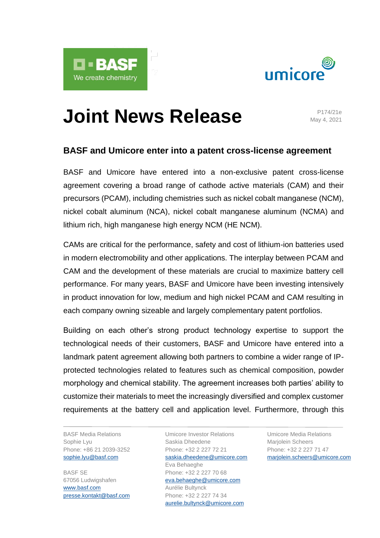



# **Joint News Release**

May 4, 2021

# **BASF and Umicore enter into a patent cross-license agreement**

BASF and Umicore have entered into a non-exclusive patent cross-license agreement covering a broad range of cathode active materials (CAM) and their precursors (PCAM), including chemistries such as nickel cobalt manganese (NCM), nickel cobalt aluminum (NCA), nickel cobalt manganese aluminum (NCMA) and lithium rich, high manganese high energy NCM (HE NCM).

CAMs are critical for the performance, safety and cost of lithium-ion batteries used in modern electromobility and other applications. The interplay between PCAM and CAM and the development of these materials are crucial to maximize battery cell performance. For many years, BASF and Umicore have been investing intensively in product innovation for low, medium and high nickel PCAM and CAM resulting in each company owning sizeable and largely complementary patent portfolios.

Building on each other's strong product technology expertise to support the technological needs of their customers, BASF and Umicore have entered into a landmark patent agreement allowing both partners to combine a wider range of IPprotected technologies related to features such as chemical composition, powder morphology and chemical stability. The agreement increases both parties' ability to customize their materials to meet the increasingly diversified and complex customer requirements at the battery cell and application level. Furthermore, through this

BASF Media Relations Sophie Lyu Phone: +86 21 2039-3252 [sophie.lyu@basf.com](mailto:sophie.lyu@basf.com)

BASF SE 67056 Ludwigshafen [www.basf.com](http://www.basf.com/) [presse.kontakt@basf.com](mailto:presse.kontakt@basf.com)

Umicore Investor Relations Saskia Dheedene Phone: +32 2 227 72 21 [saskia.dheedene@umicore.com](mailto:saskia.dheedene@umicore.com) Eva Behaeghe Phone: +32 2 227 70 68 [eva.behaeghe@umicore.com](mailto:eva.behaeghe@umicore.com) Aurélie Bultynck Phone: +32 2 227 74 34 [aurelie.bultynck@umicore.com](mailto:aurelie.bultynck@umicore.com)

Umicore Media Relations Marjolein Scheers Phone: +32 2 227 71 47 [marjolein.scheers@umicore.com](mailto:marjolein.scheers@umicore.com)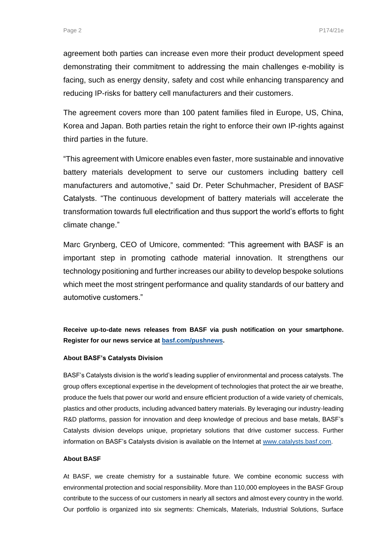agreement both parties can increase even more their product development speed demonstrating their commitment to addressing the main challenges e-mobility is facing, such as energy density, safety and cost while enhancing transparency and reducing IP-risks for battery cell manufacturers and their customers.

The agreement covers more than 100 patent families filed in Europe, US, China, Korea and Japan. Both parties retain the right to enforce their own IP-rights against third parties in the future.

"This agreement with Umicore enables even faster, more sustainable and innovative battery materials development to serve our customers including battery cell manufacturers and automotive," said Dr. Peter Schuhmacher, President of BASF Catalysts. "The continuous development of battery materials will accelerate the transformation towards full electrification and thus support the world's efforts to fight climate change."

Marc Grynberg, CEO of Umicore, commented: "This agreement with BASF is an important step in promoting cathode material innovation. It strengthens our technology positioning and further increases our ability to develop bespoke solutions which meet the most stringent performance and quality standards of our battery and automotive customers."

**Receive up-to-date news releases from BASF via push notification on your smartphone. Register for our news service at [basf.com/pushnews.](http://www.basf.com/pushnews)**

#### **About BASF's Catalysts Division**

BASF's Catalysts division is the world's leading supplier of environmental and process catalysts. The group offers exceptional expertise in the development of technologies that protect the air we breathe, produce the fuels that power our world and ensure efficient production of a wide variety of chemicals, plastics and other products, including advanced battery materials. By leveraging our industry-leading R&D platforms, passion for innovation and deep knowledge of precious and base metals, BASF's Catalysts division develops unique, proprietary solutions that drive customer success. Further information on BASF's Catalysts division is available on the Internet at [www.catalysts.basf.com.](http://www.catalysts.basf.com/)

### **About BASF**

At BASF, we create chemistry for a sustainable future. We combine economic success with environmental protection and social responsibility. More than 110,000 employees in the BASF Group contribute to the success of our customers in nearly all sectors and almost every country in the world. Our portfolio is organized into six segments: Chemicals, Materials, Industrial Solutions, Surface